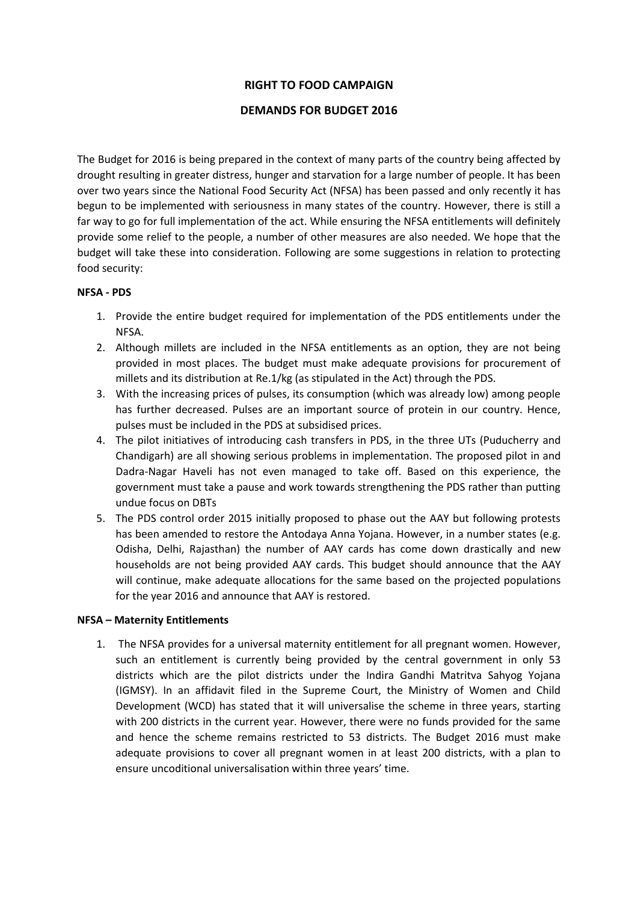## **RIGHT TO FOOD CAMPAIGN**

### **DEMANDS FOR BUDGET 2016**

The Budget for 2016 is being prepared in the context of many parts of the country being affected by drought resulting in greater distress, hunger and starvation for a large number of people. It has been over two years since the National Food Security Act (NFSA) has been passed and only recently it has begun to be implemented with seriousness in many states of the country. However, there is still a far way to go for full implementation of the act. While ensuring the NFSA entitlements will definitely provide some relief to the people, a number of other measures are also needed. We hope that the budget will take these into consideration. Following are some suggestions in relation to protecting food security:

#### **NFSA - PDS**

- 1. Provide the entire budget required for implementation of the PDS entitlements under the NFSA.
- 2. Although millets are included in the NFSA entitlements as an option, they are not being provided in most places. The budget must make adequate provisions for procurement of millets and its distribution at Re.1/kg (as stipulated in the Act) through the PDS.
- 3. With the increasing prices of pulses, its consumption (which was already low) among people has further decreased. Pulses are an important source of protein in our country. Hence, pulses must be included in the PDS at subsidised prices.
- 4. The pilot initiatives of introducing cash transfers in PDS, in the three UTs (Puducherry and Chandigarh) are all showing serious problems in implementation. The proposed pilot in and Dadra-Nagar Haveli has not even managed to take off. Based on this experience, the government must take a pause and work towards strengthening the PDS rather than putting undue focus on DBTs
- 5. The PDS control order 2015 initially proposed to phase out the AAY but following protests has been amended to restore the Antodaya Anna Yojana. However, in a number states (e.g. Odisha, Delhi, Rajasthan) the number of AAY cards has come down drastically and new households are not being provided AAY cards. This budget should announce that the AAY will continue, make adequate allocations for the same based on the projected populations for the year 2016 and announce that AAY is restored.

#### **NFSA – Maternity Entitlements**

1. The NFSA provides for a universal maternity entitlement for all pregnant women. However, such an entitlement is currently being provided by the central government in only 53 districts which are the pilot districts under the Indira Gandhi Matritva Sahyog Yojana (IGMSY). In an affidavit filed in the Supreme Court, the Ministry of Women and Child Development (WCD) has stated that it will universalise the scheme in three years, starting with 200 districts in the current year. However, there were no funds provided for the same and hence the scheme remains restricted to 53 districts. The Budget 2016 must make adequate provisions to cover all pregnant women in at least 200 districts, with a plan to ensure uncoditional universalisation within three years' time.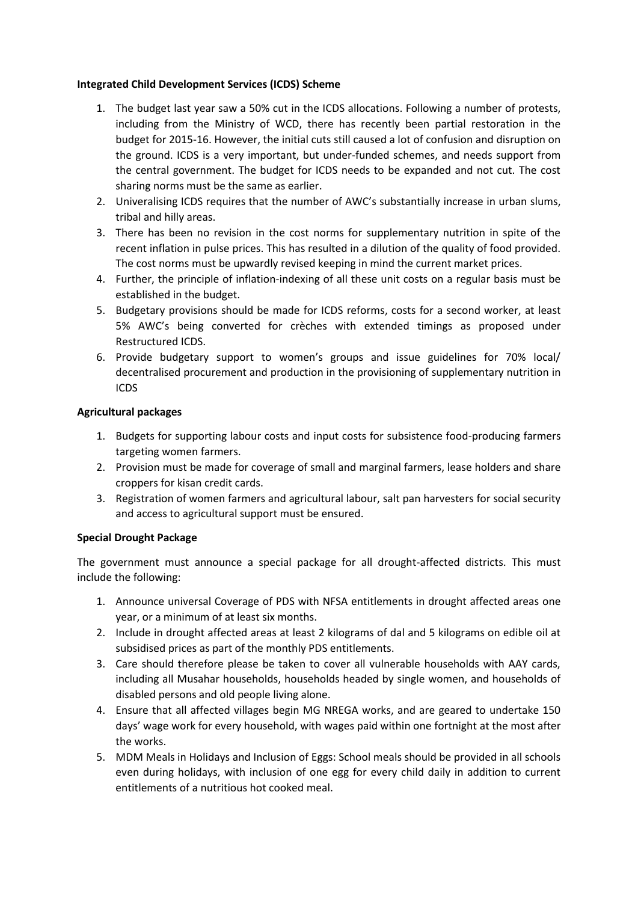### **Integrated Child Development Services (ICDS) Scheme**

- 1. The budget last year saw a 50% cut in the ICDS allocations. Following a number of protests, including from the Ministry of WCD, there has recently been partial restoration in the budget for 2015-16. However, the initial cuts still caused a lot of confusion and disruption on the ground. ICDS is a very important, but under-funded schemes, and needs support from the central government. The budget for ICDS needs to be expanded and not cut. The cost sharing norms must be the same as earlier.
- 2. Univeralising ICDS requires that the number of AWC's substantially increase in urban slums, tribal and hilly areas.
- 3. There has been no revision in the cost norms for supplementary nutrition in spite of the recent inflation in pulse prices. This has resulted in a dilution of the quality of food provided. The cost norms must be upwardly revised keeping in mind the current market prices.
- 4. Further, the principle of inflation-indexing of all these unit costs on a regular basis must be established in the budget.
- 5. Budgetary provisions should be made for ICDS reforms, costs for a second worker, at least 5% AWC's being converted for crèches with extended timings as proposed under Restructured ICDS.
- 6. Provide budgetary support to women's groups and issue guidelines for 70% local/ decentralised procurement and production in the provisioning of supplementary nutrition in ICDS

# **Agricultural packages**

- 1. Budgets for supporting labour costs and input costs for subsistence food-producing farmers targeting women farmers.
- 2. Provision must be made for coverage of small and marginal farmers, lease holders and share croppers for kisan credit cards.
- 3. Registration of women farmers and agricultural labour, salt pan harvesters for social security and access to agricultural support must be ensured.

# **Special Drought Package**

The government must announce a special package for all drought-affected districts. This must include the following:

- 1. Announce universal Coverage of PDS with NFSA entitlements in drought affected areas one year, or a minimum of at least six months.
- 2. Include in drought affected areas at least 2 kilograms of dal and 5 kilograms on edible oil at subsidised prices as part of the monthly PDS entitlements.
- 3. Care should therefore please be taken to cover all vulnerable households with AAY cards, including all Musahar households, households headed by single women, and households of disabled persons and old people living alone.
- 4. Ensure that all affected villages begin MG NREGA works, and are geared to undertake 150 days' wage work for every household, with wages paid within one fortnight at the most after the works.
- 5. MDM Meals in Holidays and Inclusion of Eggs: School meals should be provided in all schools even during holidays, with inclusion of one egg for every child daily in addition to current entitlements of a nutritious hot cooked meal.